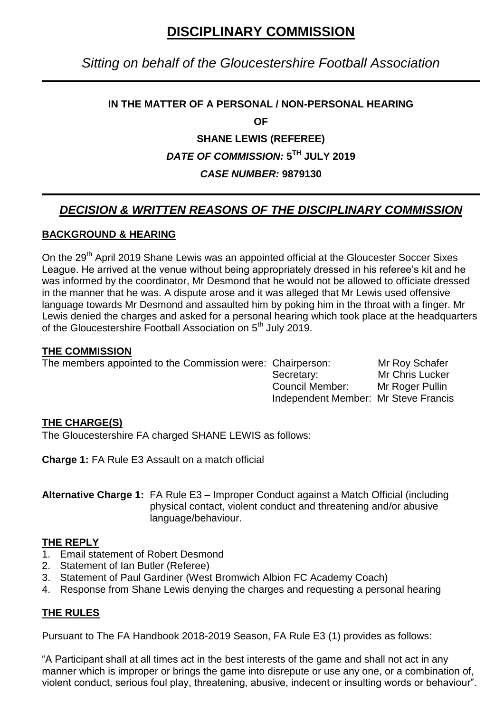# **DISCIPLINARY COMMISSION**

# *Sitting on behalf of the Gloucestershire Football Association*

## **IN THE MATTER OF A PERSONAL / NON-PERSONAL HEARING**

**OF**

## **SHANE LEWIS (REFEREE)**

# *DATE OF COMMISSION:* **5 TH JULY 2019**

# *CASE NUMBER:* **9879130**

# *DECISION & WRITTEN REASONS OF THE DISCIPLINARY COMMISSION*

#### **BACKGROUND & HEARING**

On the 29<sup>th</sup> April 2019 Shane Lewis was an appointed official at the Gloucester Soccer Sixes League. He arrived at the venue without being appropriately dressed in his referee's kit and he was informed by the coordinator, Mr Desmond that he would not be allowed to officiate dressed in the manner that he was. A dispute arose and it was alleged that Mr Lewis used offensive language towards Mr Desmond and assaulted him by poking him in the throat with a finger. Mr Lewis denied the charges and asked for a personal hearing which took place at the headquarters of the Gloucestershire Football Association on 5<sup>th</sup> July 2019.

#### **THE COMMISSION**

| The members appointed to the Commission were: Chairperson: |                                      | Mr Roy Schafer         |
|------------------------------------------------------------|--------------------------------------|------------------------|
|                                                            | Secretary:                           | <b>Mr Chris Lucker</b> |
|                                                            | Council Member:                      | Mr Roger Pullin        |
|                                                            | Independent Member: Mr Steve Francis |                        |

#### **THE CHARGE(S)**

The Gloucestershire FA charged SHANE LEWIS as follows:

**Charge 1:** FA Rule E3 Assault on a match official

**Alternative Charge 1:** FA Rule E3 – Improper Conduct against a Match Official (including physical contact, violent conduct and threatening and/or abusive language/behaviour.

#### **THE REPLY**

- 1. Email statement of Robert Desmond
- 2. Statement of Ian Butler (Referee)
- 3. Statement of Paul Gardiner (West Bromwich Albion FC Academy Coach)
- 4. Response from Shane Lewis denying the charges and requesting a personal hearing

#### **THE RULES**

Pursuant to The FA Handbook 2018-2019 Season, FA Rule E3 (1) provides as follows:

"A Participant shall at all times act in the best interests of the game and shall not act in any manner which is improper or brings the game into disrepute or use any one, or a combination of, violent conduct, serious foul play, threatening, abusive, indecent or insulting words or behaviour".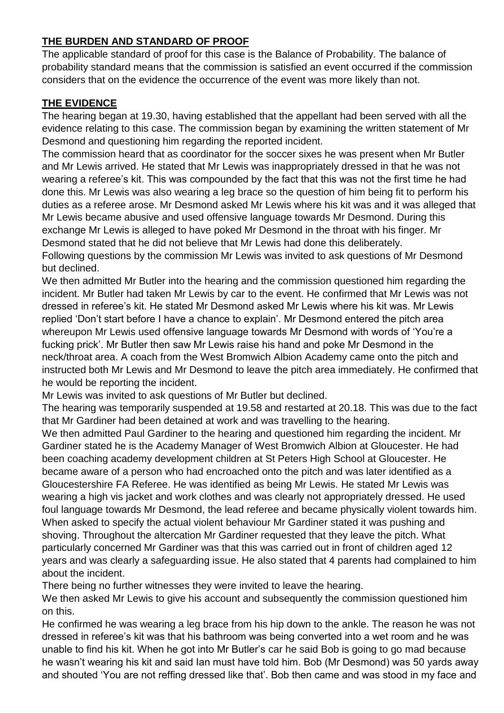# **THE BURDEN AND STANDARD OF PROOF**

The applicable standard of proof for this case is the Balance of Probability. The balance of probability standard means that the commission is satisfied an event occurred if the commission considers that on the evidence the occurrence of the event was more likely than not.

# **THE EVIDENCE**

The hearing began at 19.30, having established that the appellant had been served with all the evidence relating to this case. The commission began by examining the written statement of Mr Desmond and questioning him regarding the reported incident.

The commission heard that as coordinator for the soccer sixes he was present when Mr Butler and Mr Lewis arrived. He stated that Mr Lewis was inappropriately dressed in that he was not wearing a referee's kit. This was compounded by the fact that this was not the first time he had done this. Mr Lewis was also wearing a leg brace so the question of him being fit to perform his duties as a referee arose. Mr Desmond asked Mr Lewis where his kit was and it was alleged that Mr Lewis became abusive and used offensive language towards Mr Desmond. During this exchange Mr Lewis is alleged to have poked Mr Desmond in the throat with his finger. Mr Desmond stated that he did not believe that Mr Lewis had done this deliberately. Following questions by the commission Mr Lewis was invited to ask questions of Mr Desmond but declined.

We then admitted Mr Butler into the hearing and the commission questioned him regarding the incident. Mr Butler had taken Mr Lewis by car to the event. He confirmed that Mr Lewis was not dressed in referee"s kit. He stated Mr Desmond asked Mr Lewis where his kit was. Mr Lewis replied 'Don't start before I have a chance to explain'. Mr Desmond entered the pitch area whereupon Mr Lewis used offensive language towards Mr Desmond with words of "You"re a fucking prick'. Mr Butler then saw Mr Lewis raise his hand and poke Mr Desmond in the neck/throat area. A coach from the West Bromwich Albion Academy came onto the pitch and instructed both Mr Lewis and Mr Desmond to leave the pitch area immediately. He confirmed that he would be reporting the incident.

Mr Lewis was invited to ask questions of Mr Butler but declined.

The hearing was temporarily suspended at 19.58 and restarted at 20.18. This was due to the fact that Mr Gardiner had been detained at work and was travelling to the hearing.

We then admitted Paul Gardiner to the hearing and questioned him regarding the incident. Mr Gardiner stated he is the Academy Manager of West Bromwich Albion at Gloucester. He had been coaching academy development children at St Peters High School at Gloucester. He became aware of a person who had encroached onto the pitch and was later identified as a Gloucestershire FA Referee. He was identified as being Mr Lewis. He stated Mr Lewis was wearing a high vis jacket and work clothes and was clearly not appropriately dressed. He used foul language towards Mr Desmond, the lead referee and became physically violent towards him. When asked to specify the actual violent behaviour Mr Gardiner stated it was pushing and shoving. Throughout the altercation Mr Gardiner requested that they leave the pitch. What particularly concerned Mr Gardiner was that this was carried out in front of children aged 12 years and was clearly a safeguarding issue. He also stated that 4 parents had complained to him about the incident.

There being no further witnesses they were invited to leave the hearing.

We then asked Mr Lewis to give his account and subsequently the commission questioned him on this.

He confirmed he was wearing a leg brace from his hip down to the ankle. The reason he was not dressed in referee"s kit was that his bathroom was being converted into a wet room and he was unable to find his kit. When he got into Mr Butler"s car he said Bob is going to go mad because he wasn"t wearing his kit and said Ian must have told him. Bob (Mr Desmond) was 50 yards away and shouted "You are not reffing dressed like that". Bob then came and was stood in my face and